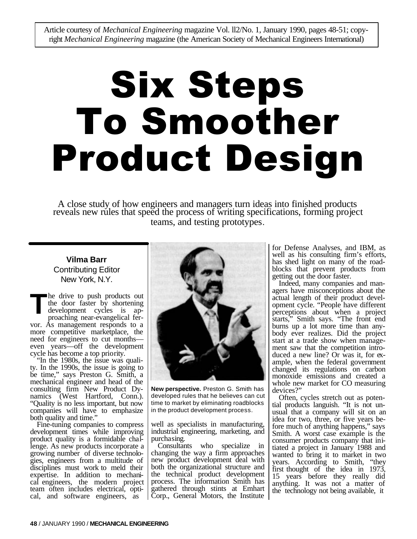Article courtesy of *Mechanical Engineering* magazine Vol. ll2/No. 1, January 1990, pages 48-51; copyright *Mechanical Engineering* magazine (the American Society of Mechanical Engineers International)

# Six Steps To Smoother Product Design

A close study of how engineers and managers turn ideas into finished products reveals new rules that speed the process of writing specifications, forming project teams, and testing prototypes.

# **Vilma Barr** Contributing Editor New York, N.Y.

he drive to push products out the door faster by shortening development cycles is approaching near-evangelical fervor. As management responds to a more competitive market place, the need for engineers to cut monthseven years—off the development cycle has become a top priority. **T**

"In the 1980s, the issue was quality. In the 1990s, the issue is going to be time," says Preston G. Smith, a mechanical engineer and head of the consulting firm New Product Dynamics (West Hartford, Conn.). "Quality is no less important, but now companies will have to emphasize both quality and time."

Fine-tuning companies to compress development times while improving product quality is a formidable challenge. As new products incorporate a growing number of diverse technologies, engineers from a multitude of disciplines must work to meld their expertise. In addition to mechanical engineers, the modern project team often includes electrical, optical, and software engineers, as



**New perspective.** Preston G. Smith has developed rules that he believes can cut time to market by eliminating roadblocks in the product development process.

well as specialists in manufacturing, industrial engineering, marketing, and purchasing.

Consultants who specialize in changing the way a firm approaches new product development deal with both the organizational structure and the technical product development process. The information Smith has gathered through stints at Emhart Corp., General Motors, the Institute for Defense Analyses, and IBM, as well as his consulting firm's efforts, has shed light on many of the roadblocks that prevent products from getting out the door faster.

Indeed, many companies and managers have misconceptions about the actual length of their product development cycle. "People have different perceptions about when a project starts," Smith says. "The front end burns up a lot more time than anybody ever realizes. Did the project start at a trade show when management saw that the competition introduced a new line? Or was it, for example, when the federal government changed its regulations on carbon monoxide emissions and created a whole new market for CO measuring devices?"

Often, cycles stretch out as potential products languish. "It is not unusual that a company will sit on an idea for two, three, or five years before much of anything happens," says Smith. A worst case example is the consumer products company that initiated a project in January 1988 and wanted to bring it to market in two years. According to Smith, "they first thought of the idea in 1973, 15 years before they really did anything. It was not a matter of the technology not being available, it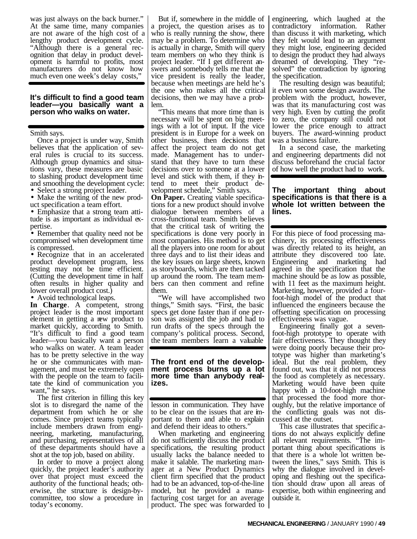was just always on the back burner." At the same time, many companies are not aware of the high cost of a lengthy product development cycle. "Although there is a general recognition that delay in product development is harmful to profits, most manufacturers do not know how much even one week's delay costs,

### **It's difficult to find a good team leader—you basically want a person who walks on water.**

Smith says.

Once a project is under way, Smith believes that the application of several rules is crucial to its success. Although group dynamics and situations vary, these measures are basic to slashing product development time and smoothing the development cycle:

• Select a strong project leader.

• Make the writing of the new product specification a team effort.

• Emphasize that a strong team attitude is as important as individual expertise.

• Remember that quality need not be compromised when development time is compressed.

• Recognize that in an accelerated product development program, less testing may not be time efficient. (Cutting the development time in half often results in higher quality and lower overall product cost.)

• Avoid technological leaps.

In Charge. A competent, strong project leader is the most important element in getting a new product to market quickly, according to Smith. "It's difficult to find a good team leader—you basically want a person who walks on water. A team leader has to be pretty selective in the way he or she communicates with management, and must be extremely open with the people on the team to facilitate the kind of communication you want," he says.

The first criterion in filling this key slot is to disregard the name of the department from which he or she comes. Since project teams typically include members drawn from engineering, marketing, manufacturing, and purchasing, representatives of all of these departments should have a shot at the top job, based on ability.

In order to move a project along quickly, the project leader's authority over that project must exceed the authority of the functional heads; otherwise, the structure is design-bycommittee, too slow a procedure in today's economy.

But if, somewhere in the middle of a project, the question arises as to who is really running the show, there may be a problem. To determine who is actually in charge, Smith will query team members on who they think is project leader. "If I get different answers and somebody tells me that the vice president is really the leader, because when meetings are held he's the one who makes all the critical decisions, then we may have a problem.

"This means that more time than is necessary will be spent on big meetings with a lot of input. If the vice president is in Europe for a week on other business, then decisions that affect the project team do not get made. Management has to understand that they have to turn these decisions over to someone at a lower level and stick with them, if they intend to meet their product development schedule," Smith says.

**On Paper.** Creating viable specifications for a new product should involve dialogue between members of a cross-functional team. Smith believes that the critical task of writing the specifications is done very poorly in most companies. His method is to get all the players into one room for about three days and to list their ideas and the key issues on large sheets, known as storyboards, which are then tacked up around the room. The team members can then comment and refine them.

"We will have accomplished two things," Smith says. "First, the basic specs get done faster than if one person was assigned the job and had to run drafts of the specs through the company's political process. Second, the team members learn a valuable

### **The front end of the development process burns up a lot more time than anybody realizes.**

lesson in communication. They have to be clear on the issues that are important to them and able to explain and defend their ideas to others.

When marketing and engineering do not sufficiently discuss the product specifications, the resulting product usually lacks the balance needed to make it salable. The marketing manager at a New Product Dynamics client firm specified that the product had to be an advanced, top-of-the-line model, but he provided a manufacturing cost target for an average product. The spec was forwarded to engineering, which laughed at the contradictory information. Rather than discuss it with marketing, which they felt would lead to an argument they might lose, engineering decided to design the product they had always dreamed of developing. They "resolved" the contradiction by ignoring the specification.

The resulting design was beautiful; it even won some design awards. The problem with the product, however, was that its manufacturing cost was very high. Even by cutting the profit to zero, the company still could not lower the price enough to attract buyers. The award-winning product was a business failure.

In a second case, the marketing and engineering departments did not discuss beforehand the crucial factor of how well the product had to work.

# **The important thing about specifications is that there is a whole lot written between the lines.**

For this piece of food processing machinery, its processing effectiveness was directly related to its height, an attribute they discovered too late. Engineering and marketing had agreed in the specification that the machine should be as low as possible, with 11 feet as the maximum height. Marketing, however, provided a fourfoot-high model of the product that influenced the engineers because the offsetting specification on processing effectiveness was vague.

Engineering finally got a sevenfoot-high prototype to operate with fair effectiveness. They thought they were doing poorly because their prototype was higher than marketing's ideal. But the real problem, they found out, was that it did not process the food as completely as necessary. Marketing would have been quite happy with a 10-foot-high machine that processed the food more thoroughly, but the relative importance of the conflicting goals was not discussed at the outset.

This case illustrates that specific ations do not always explicitly define all relevant requirements. "The important thing about specifications is that there is a whole lot written between the lines," says Smith. This is why the dialogue involved in developing and fleshing out the specification should draw upon all areas of expertise, both within engineering and outside it.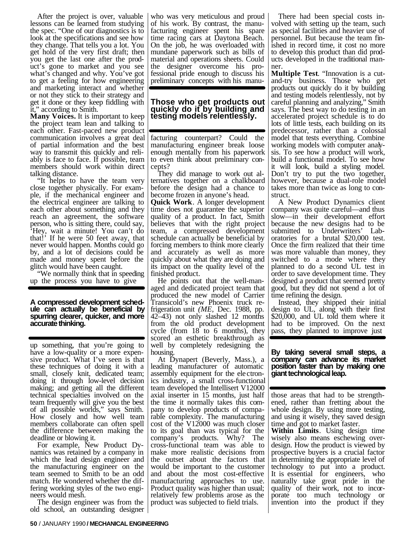After the project is over, valuable lessons can be learned from studying the spec. "One of our diagnostics is to look at the specifications and see how they change. That tells you a lot. You get hold of the very first draft; then you get the last one after the product's gone to market and you see what's changed and why. You've got to get a feeling for how engineering and marketing interact and whether or not they stick to their strategy and get it done or they keep fiddling with it," according to Smith.

**Many Voices.** It is important to keep the project team lean and talking to each other. Fast-paced new product communication involves a great deal of partial information and the best way to transmit this quickly and reliably is face to face. If possible, team members should work within direct talking distance.

"It helps to have the team very close together physically. For example, if the mechanical engineer and the electrical engineer are talking to each other about something and they reach an agreement, the software person, who is sitting there, could say, 'Hey, wait a minute! You can't do that!' If he were 50 feet away, that never would happen. Months could go by, and a lot of decisions could be made and money spent before the glitch would have been caught.

"We normally think that in speeding up the process you have to give

### **A compressed development schedule can actually be beneficial by spurring clearer, quicker, and more accurate thinking.**

up something, that you're going to have a low-quality or a more expensive product. What I've seen is that these techniques of doing it with a small, closely knit, dedicated team; doing it through low-level decision making; and getting all the different technical specialties involved on the team frequently will give you the best of all possible worlds," says Smith. How closely and how well team members collaborate can often spell the difference between making the deadline or blowing it.

For example, New Product Dynamics was retained by a company in which the lead design engineer and the manufacturing engineer on the team seemed to Smith to be an odd match. He wondered whether the differing working styles of the two engineers would mesh.

The design engineer was from the old school, an outstanding designer

who was very meticulous and proud of his work. By contrast, the manufacturing engineer spent his spare time racing cars at Daytona Beach. On the job, he was overloaded with mundane paperwork such as bills of material and operations sheets. Could the designer overcome his professional pride enough to discuss his preliminary concepts with his manu-

# **Those who get products out quickly do it by building and testing models relentlessly.**

facturing counterpart? Could the manufacturing engineer break loose enough mentally from his paperwork to even think about preliminary concepts?

They did manage to work out alternatives together on a chalkboard before the design had a chance to become frozen in anyone's head.

**Quick Work**. A longer development time does not guarantee the superior quality of a product. In fact, Smith believes that with the right project team, a compressed development schedule can actually be beneficial by forcing members to think more clearly and accurately as well as more quickly about what they are doing and its impact on the quality level of the finished product.

He points out that the well-managed and dedicated project team that produced the new model of Carrier Transicold's new Phoenix truck refrigeration unit *(ME,* Dec. 1988, pp. 42–43) not only slashed 12 months from the old product development cycle (from 18 to 6 months), they scored an esthetic breakthrough as well by completely redesigning the housing.

At Dynapert (Beverly, Mass.), a leading manufacturer of automatic assembly equipment for the ele ctronics industry, a small cross-functional team developed the Intellisert V12000 axial inserter in 15 months, just half the time it normally takes this company to develop products of comparable complexity. The manufacturing cost of the V12000 was much closer to its goal than was typical for the company's products. Why? The cross-functional team was able to make more realistic decisions from the outset about the factors that would be important to the customer and about the most cost-effective manufacturing approaches to use. Product quality was higher than usual; relatively few problems arose as the product was subjected to field trials.

There had been special costs involved with setting up the team, such as special facilities and heavier use of personnel. But because the team finished in record time, it cost no more to develop this product than did products developed in the traditional manner.

**Multiple Test**. "Innovation is a cutand-try business. Those who get products out quickly do it by building and testing models relentlessly, not by careful planning and analyzing," Smith says. The best way to do testing in an accelerated project schedule is to do lots of little tests, each building on its predecessor, rather than a colossal model that tests everything. Combine working models with computer analysis. To see how a product will work, build a functional model. To see how it will look, build a styling model. Don't try to put the two together, however, because a dual-role model takes more than twice as long to construct.

A New Product Dynamics client company was quite careful—and thus slow—in their development effort because the new designs had to be submitted to Underwriters' Laboratories for a brutal \$20,000 test. Once the firm realized that their time was more valuable than money, they switched to a mode where they planned to do a second UL test in order to save development time. They designed a product that seemed pretty good, but they did not spend a lot of time refining the design.

Instead, they shipped their initial design to UL, along with their first \$20,000, and UL told them where it had to be improved. On the next pass, they planned to improve just

## **By taking several small steps, a company can advance its market position faster than by making one giant technological leap.**

those areas that had to be strengthened, rather than fretting about the whole design. By using more testing, and using it wisely, they saved design time and got to market faster.

**Within Limits**. Using design time wisely also means eschewing overdesign. How the product is viewed by prospective buyers is a crucial factor in determining the appropriate level of technology to put into a product. It is essential for engineers, who naturally take great pride in the quality of their work, not to incorporate too much technology or invention into the product if they